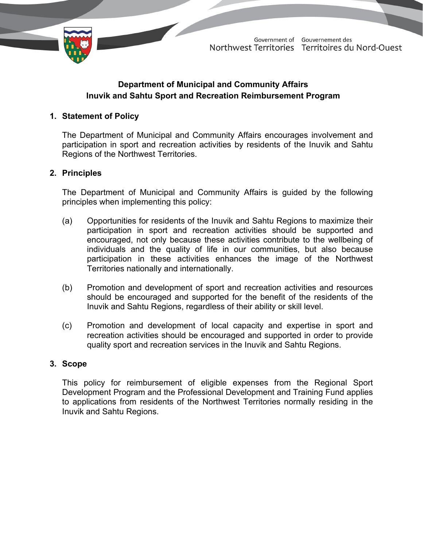

# **Department of Municipal and Community Affairs Inuvik and Sahtu Sport and Recreation Reimbursement Program**

### **1. Statement of Policy**

The Department of Municipal and Community Affairs encourages involvement and participation in sport and recreation activities by residents of the Inuvik and Sahtu Regions of the Northwest Territories.

### **2. Principles**

The Department of Municipal and Community Affairs is guided by the following principles when implementing this policy:

- (a) Opportunities for residents of the Inuvik and Sahtu Regions to maximize their participation in sport and recreation activities should be supported and encouraged, not only because these activities contribute to the wellbeing of individuals and the quality of life in our communities, but also because participation in these activities enhances the image of the Northwest Territories nationally and internationally.
- (b) Promotion and development of sport and recreation activities and resources should be encouraged and supported for the benefit of the residents of the Inuvik and Sahtu Regions, regardless of their ability or skill level.
- (c) Promotion and development of local capacity and expertise in sport and recreation activities should be encouraged and supported in order to provide quality sport and recreation services in the Inuvik and Sahtu Regions.

### **3. Scope**

This policy for reimbursement of eligible expenses from the Regional Sport Development Program and the Professional Development and Training Fund applies to applications from residents of the Northwest Territories normally residing in the Inuvik and Sahtu Regions.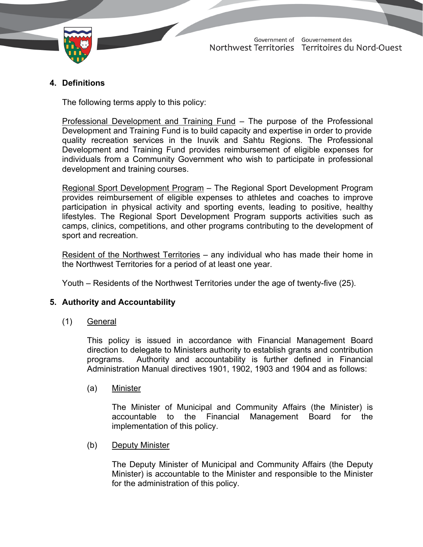

## **4. Definitions**

The following terms apply to this policy:

Professional Development and Training Fund – The purpose of the Professional Development and Training Fund is to build capacity and expertise in order to provide quality recreation services in the Inuvik and Sahtu Regions. The Professional Development and Training Fund provides reimbursement of eligible expenses for individuals from a Community Government who wish to participate in professional development and training courses.

Regional Sport Development Program – The Regional Sport Development Program provides reimbursement of eligible expenses to athletes and coaches to improve participation in physical activity and sporting events, leading to positive, healthy lifestyles. The Regional Sport Development Program supports activities such as camps, clinics, competitions, and other programs contributing to the development of sport and recreation.

Resident of the Northwest Territories – any individual who has made their home in the Northwest Territories for a period of at least one year.

Youth – Residents of the Northwest Territories under the age of twenty-five (25).

### **5. Authority and Accountability**

(1) General

This policy is issued in accordance with Financial Management Board direction to delegate to Ministers authority to establish grants and contribution programs. Authority and accountability is further defined in Financial Administration Manual directives 1901, 1902, 1903 and 1904 and as follows:

(a) Minister

The Minister of Municipal and Community Affairs (the Minister) is accountable to the Financial Management Board for the implementation of this policy.

(b) Deputy Minister

The Deputy Minister of Municipal and Community Affairs (the Deputy Minister) is accountable to the Minister and responsible to the Minister for the administration of this policy.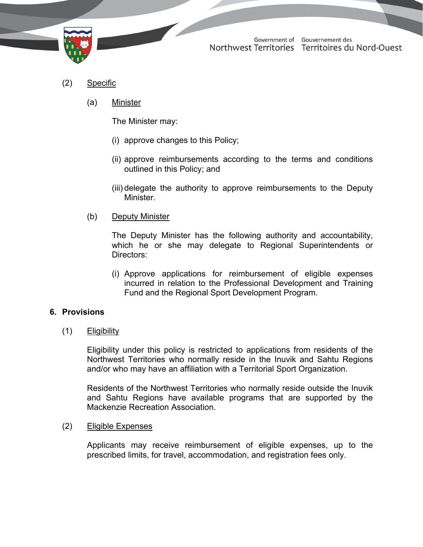

- (2) Specific
	- (a) Minister

The Minister may:

- (i) approve changes to this Policy;
- (ii) approve reimbursements according to the terms and conditions outlined in this Policy; and
- (iii) delegate the authority to approve reimbursements to the Deputy Minister.
- (b) Deputy Minister

The Deputy Minister has the following authority and accountability, which he or she may delegate to Regional Superintendents or Directors:

(i) Approve applications for reimbursement of eligible expenses incurred in relation to the Professional Development and Training Fund and the Regional Sport Development Program.

### **6. Provisions**

(1) Eligibility

Eligibility under this policy is restricted to applications from residents of the Northwest Territories who normally reside in the Inuvik and Sahtu Regions and/or who may have an affiliation with a Territorial Sport Organization.

Residents of the Northwest Territories who normally reside outside the Inuvik and Sahtu Regions have available programs that are supported by the Mackenzie Recreation Association.

(2) Eligible Expenses

Applicants may receive reimbursement of eligible expenses, up to the prescribed limits, for travel, accommodation, and registration fees only.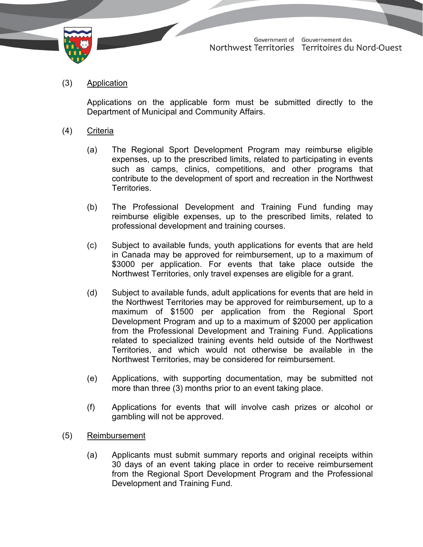

(3) Application

Applications on the applicable form must be submitted directly to the Department of Municipal and Community Affairs.

- (4) Criteria
	- (a) The Regional Sport Development Program may reimburse eligible expenses, up to the prescribed limits, related to participating in events such as camps, clinics, competitions, and other programs that contribute to the development of sport and recreation in the Northwest **Territories**
	- (b) The Professional Development and Training Fund funding may reimburse eligible expenses, up to the prescribed limits, related to professional development and training courses.
	- (c) Subject to available funds, youth applications for events that are held in Canada may be approved for reimbursement, up to a maximum of \$3000 per application. For events that take place outside the Northwest Territories, only travel expenses are eligible for a grant.
	- (d) Subject to available funds, adult applications for events that are held in the Northwest Territories may be approved for reimbursement, up to a maximum of \$1500 per application from the Regional Sport Development Program and up to a maximum of \$2000 per application from the Professional Development and Training Fund. Applications related to specialized training events held outside of the Northwest Territories, and which would not otherwise be available in the Northwest Territories, may be considered for reimbursement.
	- (e) Applications, with supporting documentation, may be submitted not more than three (3) months prior to an event taking place.
	- (f) Applications for events that will involve cash prizes or alcohol or gambling will not be approved.
- (5) Reimbursement
	- (a) Applicants must submit summary reports and original receipts within 30 days of an event taking place in order to receive reimbursement from the Regional Sport Development Program and the Professional Development and Training Fund.